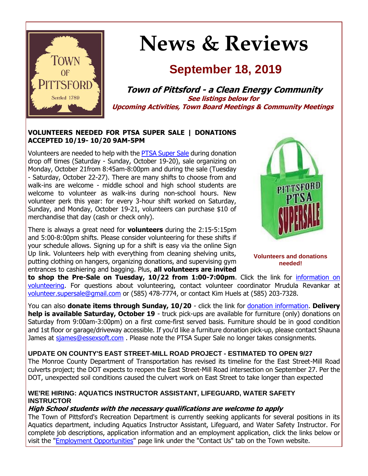

# **News & Reviews**

# **September 18, 2019**

**Town of Pittsford - a Clean Energy Community See listings below for Upcoming Activities, Town Board Meetings & Community Meetings**

#### **VOLUNTEERS NEEDED FOR PTSA SUPER SALE | DONATIONS ACCEPTED 10/19- 10/20 9AM-5PM**

Volunteers are needed to help with the [PTSA Super Sale](http://r20.rs6.net/tn.jsp?f=001qYPjmePJ4JUjpx6nQ07DwJWtmMHxWfkBoZMbKhw3XSWeMtXK3HQp4XzE-Z8eWYkRwfTGvLDOZ8Gz8Qsm6gidpIrI6pwJ4XlURu1GywyuwUG2nZcKht1-d-09l80hGHMzTNjWjgXTa9gnsm0GTxvTaczOqLMkIAfi_Uyrxq8MyWxVYlsBzCJrrfZJ6ZAoHqaqNGLJtZtXxEh9AKqK9Tdu7yBS-NhjezblJs51Ewe1lLFX749eu_9kTVt2doxk-AehdcQtJKhSObBgB_D7QMdVimW2gLFrjsmkIeiFs2SiWbD3_7GsuKR4tHfwjdLmj1L-&c=hpxgpA4bGFb3MTI3fc6bwbap1nEQ7kFGx_Q2d7XK8cR__UKy0k-SXQ==&ch=_Poga2dWBj7ENnD188EqsrDamXqQ7ZTfCOzzrGpBuSYe_s1bT1lVsA==) during donation drop off times (Saturday - Sunday, October 19-20), sale organizing on Monday, October 21from 8:45am-8:00pm and during the sale (Tuesday - Saturday, October 22-27). There are many shifts to choose from and walk-ins are welcome - middle school and high school students are welcome to volunteer as walk-ins during non-school hours. New volunteer perk this year: for every 3-hour shift worked on Saturday, Sunday, and Monday, October 19-21, volunteers can purchase \$10 of merchandise that day (cash or check only).

There is always a great need for **volunteers** during the 2:15-5:15pm and 5:00-8:00pm shifts. Please consider volunteering for these shifts if your schedule allows. Signing up for a shift is easy via the online Sign Up link. Volunteers help with everything from cleaning shelving units, putting clothing on hangers, organizing donations, and supervising gym entrances to cashiering and bagging. Plus, **all volunteers are invited** 



**Volunteers and donations needed!**

**to shop the Pre-Sale on Tuesday, 10/22 from 1:00-7:00pm**. Click the link for [information on](http://r20.rs6.net/tn.jsp?f=001qYPjmePJ4JUjpx6nQ07DwJWtmMHxWfkBoZMbKhw3XSWeMtXK3HQp4XzE-Z8eWYkRwfTGvLDOZ8Gz8Qsm6gidpIrI6pwJ4XlURu1GywyuwUG2nZcKht1-d-09l80hGHMzTNjWjgXTa9gnsm0GTxvTaczOqLMkIAfi_Uyrxq8MyWxVYlsBzCJrrfZJ6ZAoHqaqNGLJtZtXxEh9AKqK9Tdu7yBS-NhjezblJs51Ewe1lLFX749eu_9kTVt2doxk-AehdcQtJKhSObBgB_D7QMdVimW2gLFrjsmkIeiFs2SiWbD3_7GsuKR4tHfwjdLmj1L-&c=hpxgpA4bGFb3MTI3fc6bwbap1nEQ7kFGx_Q2d7XK8cR__UKy0k-SXQ==&ch=_Poga2dWBj7ENnD188EqsrDamXqQ7ZTfCOzzrGpBuSYe_s1bT1lVsA==)  [volunteering.](http://r20.rs6.net/tn.jsp?f=001qYPjmePJ4JUjpx6nQ07DwJWtmMHxWfkBoZMbKhw3XSWeMtXK3HQp4XzE-Z8eWYkRwfTGvLDOZ8Gz8Qsm6gidpIrI6pwJ4XlURu1GywyuwUG2nZcKht1-d-09l80hGHMzTNjWjgXTa9gnsm0GTxvTaczOqLMkIAfi_Uyrxq8MyWxVYlsBzCJrrfZJ6ZAoHqaqNGLJtZtXxEh9AKqK9Tdu7yBS-NhjezblJs51Ewe1lLFX749eu_9kTVt2doxk-AehdcQtJKhSObBgB_D7QMdVimW2gLFrjsmkIeiFs2SiWbD3_7GsuKR4tHfwjdLmj1L-&c=hpxgpA4bGFb3MTI3fc6bwbap1nEQ7kFGx_Q2d7XK8cR__UKy0k-SXQ==&ch=_Poga2dWBj7ENnD188EqsrDamXqQ7ZTfCOzzrGpBuSYe_s1bT1lVsA==) For questions about volunteering, contact volunteer coordinator Mrudula Revankar at [volunteer.supersale@gmail.com](mailto:volunteer.supersale@gmail.com?subject=PTSA%20Super%20Sale%20Volunteering) or (585) 478-7774, or contact Kim Huels at (585) 203-7328.

You can also **donate items through Sunday, 10/20** - click the link for [donation information.](http://r20.rs6.net/tn.jsp?f=001qYPjmePJ4JUjpx6nQ07DwJWtmMHxWfkBoZMbKhw3XSWeMtXK3HQp4XzE-Z8eWYkRwfTGvLDOZ8Gz8Qsm6gidpIrI6pwJ4XlURu1GywyuwUG2nZcKht1-d-09l80hGHMzTNjWjgXTa9gnsm0GTxvTaczOqLMkIAfi_Uyrxq8MyWxVYlsBzCJrrfZJ6ZAoHqaqNGLJtZtXxEh9AKqK9Tdu7yBS-NhjezblJs51Ewe1lLFX749eu_9kTVt2doxk-AehdcQtJKhSObBgB_D7QMdVimW2gLFrjsmkIeiFs2SiWbD3_7GsuKR4tHfwjdLmj1L-&c=hpxgpA4bGFb3MTI3fc6bwbap1nEQ7kFGx_Q2d7XK8cR__UKy0k-SXQ==&ch=_Poga2dWBj7ENnD188EqsrDamXqQ7ZTfCOzzrGpBuSYe_s1bT1lVsA==) **Delivery help is available Saturday, October 19** - truck pick-ups are available for furniture (only) donations on Saturday from 9:00am-3:00pm) on a first come-first served basis. Furniture should be in good condition and 1st floor or garage/driveway accessible. If you'd like a furniture donation pick-up, please contact Shauna James at siames@essexsoft.com . Please note the PTSA Super Sale no longer takes consignments.

#### **UPDATE ON COUNTY'S EAST STREET-MILL ROAD PROJECT - ESTIMATED TO OPEN 9/27**

The Monroe County Department of Transportation has revised its timeline for the East Street-Mill Road culverts project; the DOT expects to reopen the East Street-Mill Road intersection on September 27. Per the DOT, unexpected soil conditions caused the culvert work on East Street to take longer than expected

#### **WE'RE HIRING: AQUATICS INSTRUCTOR ASSISTANT, LIFEGUARD, WATER SAFETY INSTRUCTOR**

#### **High School students with the necessary qualifications are welcome to apply**

The Town of Pittsford's Recreation Department is currently seeking applicants for several positions in its Aquatics department, including Aquatics Instructor Assistant, Lifeguard, and Water Safety Instructor. For complete job descriptions, application information and an employment application, click the links below or visit the ["Employment Opportunities"](http://r20.rs6.net/tn.jsp?f=001qYPjmePJ4JUjpx6nQ07DwJWtmMHxWfkBoZMbKhw3XSWeMtXK3HQp4XzE-Z8eWYkR3SRZ7zegBhtKTMZMmQrDonavyjI1q26RQAbA01tH-WSgKVwWNolMkqK5AVMfmkRSRLI_7uL0qI0qd6sgh0JCsweBPHw7EBqepC4GwZYIWDQIJpE3F4hJG3rKZDoNCkURA2vUNqQ0bPA0kIPfyIgtDDRglPHzE-WEDNVr0YUFXN963wredImXMXHXy8-tCuxPpFewF3w0g9qfpV_8MFynSMzGIjNyUF-ufjWvPx9UlGfOPe1iG5Fu24Z-qdqv63yPdM2PCYBJP4Q5gOEkNZjhdg==&c=hpxgpA4bGFb3MTI3fc6bwbap1nEQ7kFGx_Q2d7XK8cR__UKy0k-SXQ==&ch=_Poga2dWBj7ENnD188EqsrDamXqQ7ZTfCOzzrGpBuSYe_s1bT1lVsA==) page link under the "Contact Us" tab on the Town website.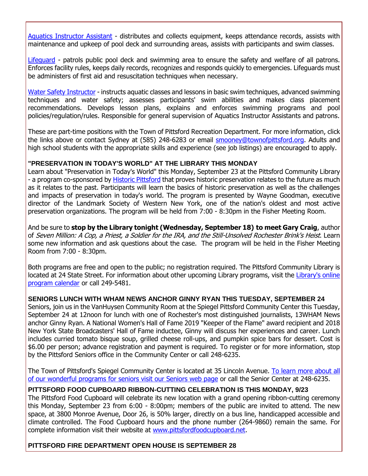[Aquatics Instructor Assistant](http://r20.rs6.net/tn.jsp?f=001qYPjmePJ4JUjpx6nQ07DwJWtmMHxWfkBoZMbKhw3XSWeMtXK3HQp4ViVASzf6CplafJwhwMWeDtKH15XSPlRUOSmpfyzm3-pBw25QCsleGDkx0lg1SdzKce8qkECDDSa7MPSXU1Nxi97eL66_IeBwOaybEG5bfP6U5X8tQTjaxDUSc1SkKLEcLiMCqx2Fr1EqOY0qvhW1Oh2mpsrmvo31InTsGyAn3mYFZ7hEDL-IN051yf-TwllkJVARYfvn1kXHA9XWMzKmJThRHQRClzEj98nNk-7jYgIPX9591AQdxwF9QN6rE1K90ev_CShIft4PGRDMKxQ_lFNbrMBHQLDi6ogF4Dt3r_38WzzhZzwPn6E981JoViN_LO1It4cUIbBTIOw_31WXtb17GFRcQ443CM6SFBivyVX&c=hpxgpA4bGFb3MTI3fc6bwbap1nEQ7kFGx_Q2d7XK8cR__UKy0k-SXQ==&ch=_Poga2dWBj7ENnD188EqsrDamXqQ7ZTfCOzzrGpBuSYe_s1bT1lVsA==) - distributes and collects equipment, keeps attendance records, assists with maintenance and upkeep of pool deck and surrounding areas, assists with participants and swim classes.

[Lifeguard](http://r20.rs6.net/tn.jsp?f=001qYPjmePJ4JUjpx6nQ07DwJWtmMHxWfkBoZMbKhw3XSWeMtXK3HQp4ViVASzf6CplO1kSBepwwMfPn0HfOKtYvo45X-wcFwkYb6nrHxfECevkTSsrVgksk9b-JXFVdXvPQ24-xlvglBqG5G_MqbAU_XcvbSlDtBl2PI4pVGqSP2I9V6zJp2-J5MnQMX2Gdb8lfPXgM5PxhsInbZNFpOgY7a3Gv0prUzDMmn7KnG8TDkJ7j2Sqpy-KyHXUvUxqdPFQ8zcCi_fFuD32UCVwV2W28oSPgrtnwUZx6ka1XSBHHvGaXvDxag3S7WbeS_S89XPi-ONmedvrnwaiKnFcXHtOIvPtTg3F4oxek_BTYHwS2iCA_9ch6JfhR8qlIH7nU0M-h6iasx3IZ_huxs2cBKkcIw==&c=hpxgpA4bGFb3MTI3fc6bwbap1nEQ7kFGx_Q2d7XK8cR__UKy0k-SXQ==&ch=_Poga2dWBj7ENnD188EqsrDamXqQ7ZTfCOzzrGpBuSYe_s1bT1lVsA==) - patrols public pool deck and swimming area to ensure the safety and welfare of all patrons. Enforces facility rules, keeps daily records, recognizes and responds quickly to emergencies. Lifeguards must be administers of first aid and resuscitation techniques when necessary.

[Water Safety Instructor](http://r20.rs6.net/tn.jsp?f=001qYPjmePJ4JUjpx6nQ07DwJWtmMHxWfkBoZMbKhw3XSWeMtXK3HQp4ViVASzf6CplVbZ0KYTp-tntbzq9qNbvzW7YR42nQaeF6Xu-uvQgOxY9K6vGD0ywf8e1IX33wFSZCZE_seW_c55WIV_e8zfgIrSJLdpuBsSSHo3mwE7Wf9CruNQT-mvNaEsSY4CDkdwjDR0I1Xg54HpyaEnNVdkL4OSZNPzGSyCRa0FNoNZksTzfhgJamRGmv8P_sgQUcP2k9uktwOkwopup7awwaI75VpNmSVK1tMLE01kqGFQPLqaoCjBBxbqa1vCaXolNZJQC7tdjPiM7yEn54BJQ9b_zPn3tiZ_ZiiOTkEbLz8sY4jMNJuFC_i8_6afKRwz5WT9DhWqiATV0K33PVwCvfbe0Tg==&c=hpxgpA4bGFb3MTI3fc6bwbap1nEQ7kFGx_Q2d7XK8cR__UKy0k-SXQ==&ch=_Poga2dWBj7ENnD188EqsrDamXqQ7ZTfCOzzrGpBuSYe_s1bT1lVsA==) - instructs aquatic classes and lessons in basic swim techniques, advanced swimming techniques and water safety; assesses participants' swim abilities and makes class placement recommendations. Develops lesson plans, explains and enforces swimming programs and pool policies/regulation/rules. Responsible for general supervision of Aquatics Instructor Assistants and patrons.

These are part-time positions with the Town of Pittsford Recreation Department. For more information, click the links above or contact Sydney at (585) 248-6283 or email [smooney@townofpittsford.org.](mailto:SMooney@townofpittsford.org?subject=Aquatics%20Department%20positions%20available) Adults and high school students with the appropriate skills and experience (see job listings) are encouraged to apply.

#### **"PRESERVATION IN TODAY'S WORLD" AT THE LIBRARY THIS MONDAY**

Learn about "Preservation in Today's World" this Monday, September 23 at the Pittsford Community Library - a program co-sponsored by [Historic Pittsford](http://r20.rs6.net/tn.jsp?f=001qYPjmePJ4JUjpx6nQ07DwJWtmMHxWfkBoZMbKhw3XSWeMtXK3HQp4VX2cPmywOAlMEI5I_LN8PaSXZb6BeTvpbKiO96yYZMHDAqI2oeDKLF3wO1f-pGj9I7iQdVBQMeUtmRD-4U1I1DTSb994wYx8kG1kfQ_nqXsaRZ_PvghzI3Pt5vtPDVmXWR6ERJbUDRfp88GPtQP8QDpdfeANDCgPla0FySGmXtLc_CQfccvIk8QTYVK5pCtX3JXsIOp3UVoDUu15AUXJLrYxfYwDyvws8-nTdhIKX01QiJh80sxQYE=&c=hpxgpA4bGFb3MTI3fc6bwbap1nEQ7kFGx_Q2d7XK8cR__UKy0k-SXQ==&ch=_Poga2dWBj7ENnD188EqsrDamXqQ7ZTfCOzzrGpBuSYe_s1bT1lVsA==) that proves historic preservation relates to the future as much as it relates to the past. Participants will learn the basics of historic preservation as well as the challenges and impacts of preservation in today's world. The program is presented by Wayne Goodman, executive director of the Landmark Society of Western New York, one of the nation's oldest and most active preservation organizations. The program will be held from 7:00 - 8:30pm in the Fisher Meeting Room.

And be sure to **stop by the Library tonight (Wednesday, September 18) to meet Gary Craig**, author of Seven Million: A Cop, a Priest, a Soldier for the IRA, and the Still-Unsolved Rochester Brink's Heist. Learn some new information and ask questions about the case. The program will be held in the Fisher Meeting Room from 7:00 - 8:30pm.

Both programs are free and open to the public; no registration required. The Pittsford Community Library is located at 24 State Street. For information about other upcoming Library programs, visit the Library's online [program calendar](http://r20.rs6.net/tn.jsp?f=001qYPjmePJ4JUjpx6nQ07DwJWtmMHxWfkBoZMbKhw3XSWeMtXK3HQp4aj-U90K48DR3aJz0C_87kebVw2JbDnX53ez_MMZNrKKM7oHYlzA8KvcpnomitaVfxjmXKjJsL3PnZXrlJWhPhw_K2bTxoZ_PbBpdDGfEDlsTsng4doFIyJKMAgaShugzj8661Kr7JtY4PX_CDuODPrUE3Fr-qXmAvBLaTGAXjkOxH-wSmc_yAIzgFE3oH_pPYcXkm2_XnAIO6I9_1Rd-tRyx4ztj3CIDY-CRfkISCNrX-KTQ9uQ0evT8-RQIu99C6Xnt6aWrzdGMCnU4DP6iX2EwR8VbFOJaIcBM1zjYSveKhF57P61QtrtT6JshvOPnuf_6tshVmd8FL78xQf1dCzi328-hhbY-XgZdo-YrvCn&c=hpxgpA4bGFb3MTI3fc6bwbap1nEQ7kFGx_Q2d7XK8cR__UKy0k-SXQ==&ch=_Poga2dWBj7ENnD188EqsrDamXqQ7ZTfCOzzrGpBuSYe_s1bT1lVsA==) or call 249-5481.

#### **SENIORS LUNCH WITH WHAM NEWS ANCHOR GINNY RYAN THIS TUESDAY, SEPTEMBER 24**

Seniors, join us in the VanHuysen Community Room at the Spiegel Pittsford Community Center this Tuesday, September 24 at 12noon for lunch with one of Rochester's most distinguished journalists, 13WHAM News anchor Ginny Ryan. A National Women's Hall of Fame 2019 "Keeper of the Flame" award recipient and 2018 New York State Broadcasters' Hall of Fame inductee, Ginny will discuss her experiences and career. Lunch includes curried tomato bisque soup, grilled cheese roll-ups, and pumpkin spice bars for dessert. Cost is \$6.00 per person; advance registration and payment is required. To register or for more information, stop by the Pittsford Seniors office in the Community Center or call 248-6235.

The Town of Pittsford's Spiegel Community Center is located at 35 Lincoln Avenue. [To learn more about all](http://r20.rs6.net/tn.jsp?f=001qYPjmePJ4JUjpx6nQ07DwJWtmMHxWfkBoZMbKhw3XSWeMtXK3HQp4TPFyqO7fvO0OS6l3j6EKg6yfjkwBKt5nWp9-VTNxo4EFQrWccZha2mldonBsnxR5x7nxYWc1EsYPPgtviPepnTe2YPsXscD-vFuXRWF1nTekWGb9YsNJ1kTZd1MPbOVrLonuVQywKED6zBYcbOrnDDjGYWgnqt7tVWdFYNE2Rcyiwdgvs62rW66Xnv6_23l8sC_BGy8_9a8AVv-AYLclmY6PXlegfg4laJ1a2opI07JeKWcwYZK9-lOmE_gjb9NcLWTqggmAmoP&c=hpxgpA4bGFb3MTI3fc6bwbap1nEQ7kFGx_Q2d7XK8cR__UKy0k-SXQ==&ch=_Poga2dWBj7ENnD188EqsrDamXqQ7ZTfCOzzrGpBuSYe_s1bT1lVsA==)  [of our wonderful programs for seniors visit our Seniors web page](http://r20.rs6.net/tn.jsp?f=001qYPjmePJ4JUjpx6nQ07DwJWtmMHxWfkBoZMbKhw3XSWeMtXK3HQp4TPFyqO7fvO0OS6l3j6EKg6yfjkwBKt5nWp9-VTNxo4EFQrWccZha2mldonBsnxR5x7nxYWc1EsYPPgtviPepnTe2YPsXscD-vFuXRWF1nTekWGb9YsNJ1kTZd1MPbOVrLonuVQywKED6zBYcbOrnDDjGYWgnqt7tVWdFYNE2Rcyiwdgvs62rW66Xnv6_23l8sC_BGy8_9a8AVv-AYLclmY6PXlegfg4laJ1a2opI07JeKWcwYZK9-lOmE_gjb9NcLWTqggmAmoP&c=hpxgpA4bGFb3MTI3fc6bwbap1nEQ7kFGx_Q2d7XK8cR__UKy0k-SXQ==&ch=_Poga2dWBj7ENnD188EqsrDamXqQ7ZTfCOzzrGpBuSYe_s1bT1lVsA==) or call the Senior Center at 248-6235.

#### **PITTSFORD FOOD CUPBOARD RIBBON-CUTTING CELEBRATION IS THIS MONDAY, 9/23**

The Pittsford Food Cupboard will celebrate its new location with a grand opening ribbon-cutting ceremony this Monday, September 23 from 6:00 - 8:00pm; members of the public are invited to attend. The new space, at 3800 Monroe Avenue, Door 26, is 50% larger, directly on a bus line, handicapped accessible and climate controlled. The Food Cupboard hours and the phone number (264-9860) remain the same. For complete information visit their website at [www.pittsfordfoodcupboard.net.](http://r20.rs6.net/tn.jsp?f=001qYPjmePJ4JUjpx6nQ07DwJWtmMHxWfkBoZMbKhw3XSWeMtXK3HQp4XzE-Z8eWYkR6CUNUBG5We6hJoGJkGxOG9pFuUPzEz-L3pTMsC_8nry30daocjEoUGg3h6ANK5omnhQnhOxbyCuMuuG6ugWsjigZsw2ATNLgU9pAANqsfxyrDq_hEK9jCikyy8vmW9WYR_ODTTWzc7RmUE6xukt2ozWCw_-QYKVAR1tkVFqvEZR2m_iXdjQBb2Tfv4Ef8mreMfWuYqJIpWxO-bEzczxfNlmMmmVCGMTkobZBNUrwq4UqRsEp71OSqw==&c=hpxgpA4bGFb3MTI3fc6bwbap1nEQ7kFGx_Q2d7XK8cR__UKy0k-SXQ==&ch=_Poga2dWBj7ENnD188EqsrDamXqQ7ZTfCOzzrGpBuSYe_s1bT1lVsA==)

#### **PITTSFORD FIRE DEPARTMENT OPEN HOUSE IS SEPTEMBER 28**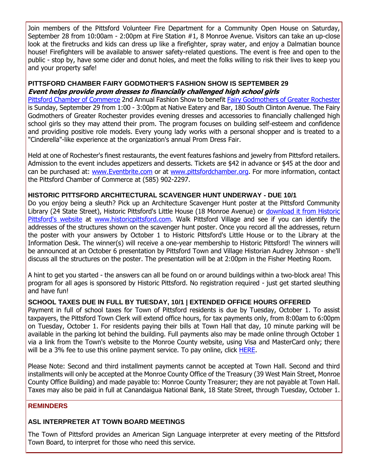Join members of the Pittsford Volunteer Fire Department for a Community Open House on Saturday, September 28 from 10:00am - 2:00pm at Fire Station #1, 8 Monroe Avenue. Visitors can take an up-close look at the firetrucks and kids can dress up like a firefighter, spray water, and enjoy a Dalmatian bounce house! Firefighters will be available to answer safety-related questions. The event is free and open to the public - stop by, have some cider and donut holes, and meet the folks willing to risk their lives to keep you and your property safe!

#### **PITTSFORD CHAMBER FAIRY GODMOTHER'S FASHION SHOW IS SEPTEMBER 29 Event helps provide prom dresses to financially challenged high school girls**

[Pittsford Chamber of Commerce](http://r20.rs6.net/tn.jsp?f=001qYPjmePJ4JUjpx6nQ07DwJWtmMHxWfkBoZMbKhw3XSWeMtXK3HQp4ViVASzf6CplTgnI0WejfwjgEABHMThFS-OOyL-m0-KBD9J5y4NoNDt14CdNWAaGvDcV44JavMGZ4RnEMp3DoyJKiks58Z8B3wA_R7fRi5OBo3Acbmc4zNWc-ogq2Ft4K7nwjOoWBNiTBz162OVWp_HnAGyjJiIoTE_b05L1vDUoeOXVB3IalzAY-0gwbtRsSv70l-j_Nt-_v1CDabWVa9-d_CT4U1jx_89jsEG98DVhpGmFAEXZ8A4=&c=hpxgpA4bGFb3MTI3fc6bwbap1nEQ7kFGx_Q2d7XK8cR__UKy0k-SXQ==&ch=_Poga2dWBj7ENnD188EqsrDamXqQ7ZTfCOzzrGpBuSYe_s1bT1lVsA==) 2nd Annual Fashion Show to benefit [Fairy Godmothers of Greater Rochester](http://r20.rs6.net/tn.jsp?f=001qYPjmePJ4JUjpx6nQ07DwJWtmMHxWfkBoZMbKhw3XSWeMtXK3HQp4ViVASzf6Cpleso-ThOXPsajum0V6fCXIwwO6P70Phlx8AHjY8ghUNLzJi9MRBM_sAY4pTM6NrmG3fa4Fk33kBK_OZncDq6w2HXfbNuEGHZnt7WsYEJZgXF4q9kLYCRa00jf32TXaOTo2RGrCuW0mUCY_DWcQF2vYV78oG_6q7hdHTefaAJnMPReO8nS_AXD0Wbm21by0hUkO1OMxzCu2Ogl1p-umA4NYO4MMwUljR3t-c7O3TdW504hOcpNQLBIpg==&c=hpxgpA4bGFb3MTI3fc6bwbap1nEQ7kFGx_Q2d7XK8cR__UKy0k-SXQ==&ch=_Poga2dWBj7ENnD188EqsrDamXqQ7ZTfCOzzrGpBuSYe_s1bT1lVsA==) is Sunday, September 29 from 1:00 - 3:00pm at Native Eatery and Bar, 180 South Clinton Avenue. The Fairy Godmothers of Greater Rochester provides evening dresses and accessories to financially challenged high school girls so they may attend their prom. The program focuses on building self-esteem and confidence and providing positive role models. Every young lady works with a personal shopper and is treated to a "Cinderella"-like experience at the organization's annual Prom Dress Fair.

Held at one of Rochester's finest restaurants, the event features fashions and jewelry from Pittsford retailers. Admission to the event includes appetizers and desserts. Tickets are \$42 in advance or \$45 at the door and can be purchased at: [www.Eventbrite.com](http://r20.rs6.net/tn.jsp?f=001qYPjmePJ4JUjpx6nQ07DwJWtmMHxWfkBoZMbKhw3XSWeMtXK3HQp4ViVASzf6CplQWdrfQ7dJSWDwPGdgYzKHg3KBLC-ZMa2l773S3JwrFBxFsbKuhG74NKsEfi4GrsBotdLbK5q5iHK0mx-RjHYPETQT0L5UKFvmLJBJC-XeVFhip7VzSA2BVRnYhIFyco9p3qimCoYkhbItvluzrcDWPIer3HYE38hQFxDVzZukPhmrk2E__xoIkPPaiVtwWIe6zBlP9Mm4cddJx34jlo_wldOOygzmdftulD7CD4lI1EeDkN8fYgfcSXPGEt6hluBDrwmrLFgZDEPHjWUnG3jK2Qh1SSHLOwMRiCqh7UP6Mx_CCyreLP9sntxxlGmh0bi8Tkx8IT_Mu9XrQaPHHhS0lpa1wRxWw1sE_2VbyHBeP2PvrgvGahvWe17YsP87Lg7tWqS6woAIEUJzyPgq4TlPA==&c=hpxgpA4bGFb3MTI3fc6bwbap1nEQ7kFGx_Q2d7XK8cR__UKy0k-SXQ==&ch=_Poga2dWBj7ENnD188EqsrDamXqQ7ZTfCOzzrGpBuSYe_s1bT1lVsA==) or at [www.pittsfordchamber.org.](http://r20.rs6.net/tn.jsp?f=001qYPjmePJ4JUjpx6nQ07DwJWtmMHxWfkBoZMbKhw3XSWeMtXK3HQp4Ucd4wu-RjVYxyLx9iSEGVMYIsZ245tm-SrxiQwsqrKOUBRHjEMFPeeKRO-62THlFkEQuV9wQ5zcvjgHO-S4DWMy9XdcXX0_SZgN-QQn5dAlMwVaZ7gIiJS0mMNFAy7QmTjv8k0ZKC9paAeRY9SXVvo4QgmIVQqPGrn41seBpRfN1eKx-nU_jaKuKPGPNy-XEcp_mcu2OIZ-y95ueVzGmzgB6LX4TOuv_hxGRAOz8G9EOtpFrCdXACI=&c=hpxgpA4bGFb3MTI3fc6bwbap1nEQ7kFGx_Q2d7XK8cR__UKy0k-SXQ==&ch=_Poga2dWBj7ENnD188EqsrDamXqQ7ZTfCOzzrGpBuSYe_s1bT1lVsA==) For more information, contact the Pittsford Chamber of Commerce at (585) 902-2297.

#### **HISTORIC PITTSFORD ARCHITECTURAL SCAVENGER HUNT UNDERWAY - DUE 10/1**

Do you enjoy being a sleuth? Pick up an Architecture Scavenger Hunt poster at the Pittsford Community Library (24 State Street), Historic Pittsford's Little House (18 Monroe Avenue) or download it from Historic [Pittsford's website](http://r20.rs6.net/tn.jsp?f=001qYPjmePJ4JUjpx6nQ07DwJWtmMHxWfkBoZMbKhw3XSWeMtXK3HQp4VBrp6a7smLtshe7M7Vnw7d5UaY1uOxjgJHJ6eeGGL4YM9HKrpzpUsbh7KZTV6w506wa-rSg3uoGuupB7DkiuxRtM-DSQc6bifNnhjuVBfxSsRSrZ15Ejo3ei7cvXmCo-OaDNx4MrH4syf_x3qNk6QUFBxcagCihxWEjvesVUPjf2HAGkGXSy0ROfrETQRjfcXprWElIMdMQB88sSDHU0eqaChVzHR9y9mduRZfHPOZoMkFGC7UpguB0HBO9QR0nQ4YvLrazPbybR3kU2RXRg05WgmXNCsBhCg==&c=hpxgpA4bGFb3MTI3fc6bwbap1nEQ7kFGx_Q2d7XK8cR__UKy0k-SXQ==&ch=_Poga2dWBj7ENnD188EqsrDamXqQ7ZTfCOzzrGpBuSYe_s1bT1lVsA==) at [www.historicpittsford.com.](http://www.historicpittsford.com/) Walk Pittsford Village and see if you can identify the addresses of the structures shown on the scavenger hunt poster. Once you record all the addresses, return the poster with your answers by October 1 to Historic Pittsford's Little House or to the Library at the Information Desk. The winner(s) will receive a one-year membership to Historic Pittsford! The winners will be announced at an October 6 presentation by Pittsford Town and Village Historian Audrey Johnson - she'll discuss all the structures on the poster. The presentation will be at 2:00pm in the Fisher Meeting Room.

A hint to get you started - the answers can all be found on or around buildings within a two-block area! This program for all ages is sponsored by Historic Pittsford. No registration required - just get started sleuthing and have fun!

#### **SCHOOL TAXES DUE IN FULL BY TUESDAY, 10/1 | EXTENDED OFFICE HOURS OFFERED**

Payment in full of school taxes for Town of Pittsford residents is due by Tuesday, October 1. To assist taxpayers, the Pittsford Town Clerk will extend office hours, for tax payments only, from 8:00am to 6:00pm on Tuesday, October 1. For residents paying their bills at Town Hall that day, 10 minute parking will be available in the parking lot behind the building. Full payments also may be made online through October 1 via a link from the Town's website to the Monroe County website, using Visa and MasterCard only; there will be a 3% fee to use this online payment service. To pay online, click [HERE.](http://r20.rs6.net/tn.jsp?f=001qYPjmePJ4JUjpx6nQ07DwJWtmMHxWfkBoZMbKhw3XSWeMtXK3HQp4e4rDkGjpUkyCWOAS1qxyqRMlGmtaIoZLfZWSw7FpNZRVBccl5F1h2pj1kd1BkZUMckoA8596_LM9jtFpMlknczUPc1g3BCDroLV-zP7xVCILkcGAt_ZorzNhRlkIXucvh_LIyidATsglAxXNJk28oa1jiUVkDVTtC5LCZ930qRgfAT00YJpU825ZP_YPISUgZqBFMqSPdEti3khDDHQDk-fE2hbIJD0G2r8EvBRjfHmomRvztcXfReqw32eNH5q8ZRYBaseqEem&c=hpxgpA4bGFb3MTI3fc6bwbap1nEQ7kFGx_Q2d7XK8cR__UKy0k-SXQ==&ch=_Poga2dWBj7ENnD188EqsrDamXqQ7ZTfCOzzrGpBuSYe_s1bT1lVsA==)

Please Note: Second and third installment payments cannot be accepted at Town Hall. Second and third installments will only be accepted at the Monroe County Office of the Treasury (39 West Main Street, Monroe County Office Building) and made payable to: Monroe County Treasurer; they are not payable at Town Hall. Taxes may also be paid in full at Canandaigua National Bank, 18 State Street, through Tuesday, October 1.

#### **REMINDERS**

### **ASL INTERPRETER AT TOWN BOARD MEETINGS**

The Town of Pittsford provides an American Sign Language interpreter at every meeting of the Pittsford Town Board, to interpret for those who need this service.